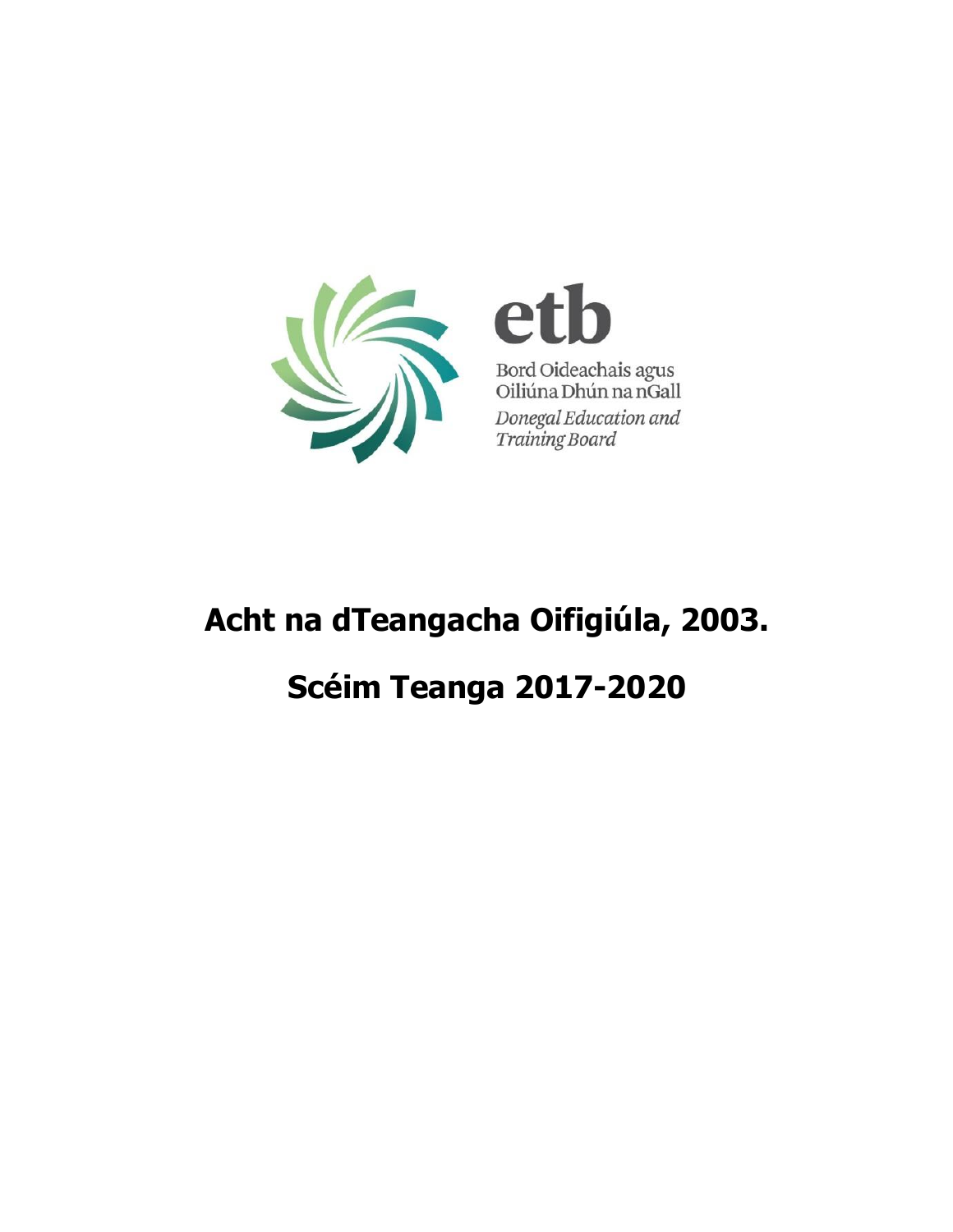

e Bord Oideachais agus<br>Oiliúna Dhún na nGall Donegal Education and Training Board

# **Acht na dTeangacha Oifigiúla, 2003. Scéim Teanga 2017-2020**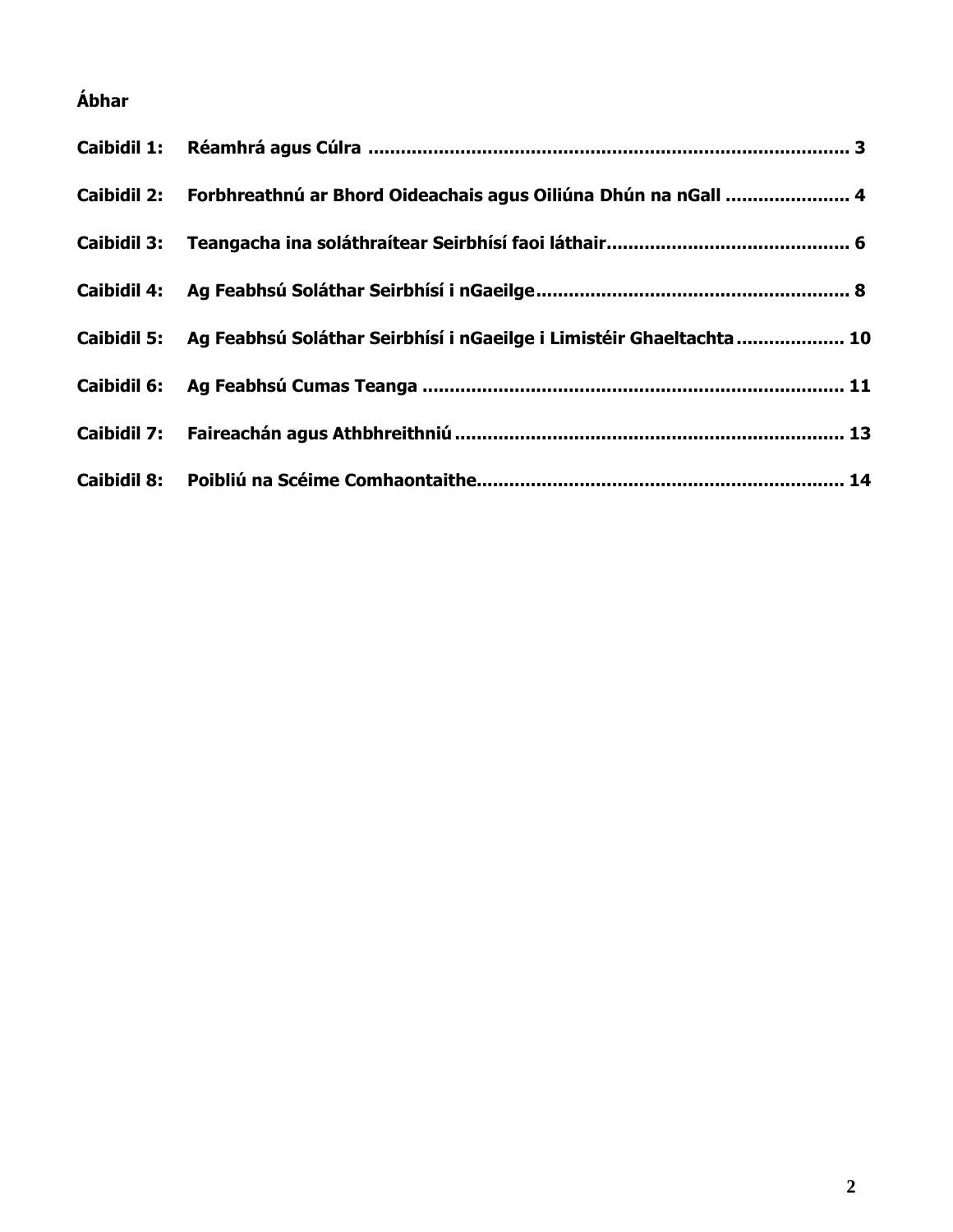# **Ábhar**

| Caibidil 2: Forbhreathnú ar Bhord Oideachais agus Oiliúna Dhún na nGall  4       |
|----------------------------------------------------------------------------------|
|                                                                                  |
|                                                                                  |
| Caibidil 5: Ag Feabhsú Soláthar Seirbhísí i nGaeilge i Limistéir Ghaeltachta  10 |
|                                                                                  |
|                                                                                  |
|                                                                                  |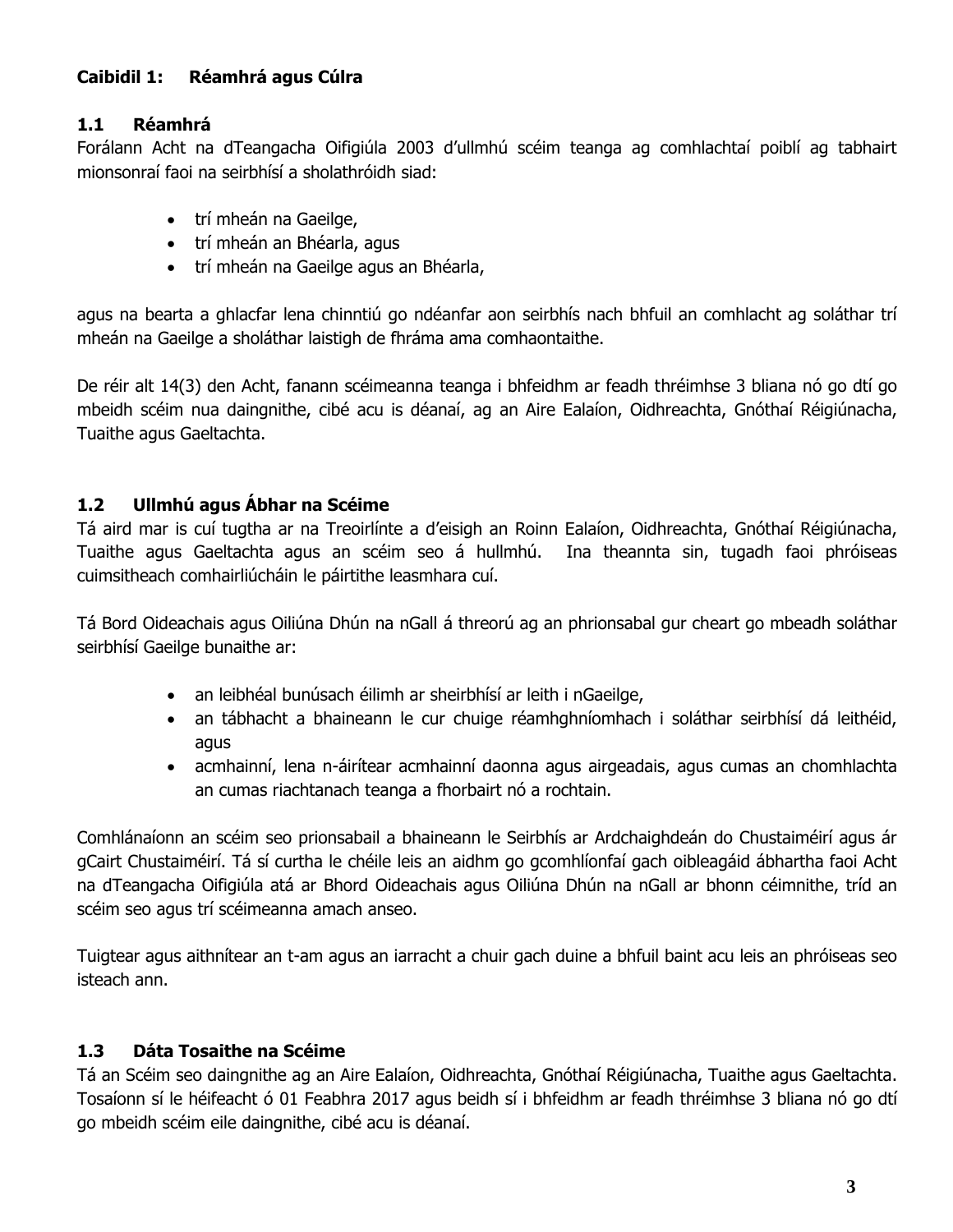# **Caibidil 1: Réamhrá agus Cúlra**

# **1.1 Réamhrá**

Forálann Acht na dTeangacha Oifigiúla 2003 d'ullmhú scéim teanga ag comhlachtaí poiblí ag tabhairt mionsonraí faoi na seirbhísí a sholathróidh siad:

- trí mheán na Gaeilge,
- trí mheán an Bhéarla, agus
- trí mheán na Gaeilge agus an Bhéarla,

agus na bearta a ghlacfar lena chinntiú go ndéanfar aon seirbhís nach bhfuil an comhlacht ag soláthar trí mheán na Gaeilge a sholáthar laistigh de fhráma ama comhaontaithe.

De réir alt 14(3) den Acht, fanann scéimeanna teanga i bhfeidhm ar feadh thréimhse 3 bliana nó go dtí go mbeidh scéim nua daingnithe, cibé acu is déanaí, ag an Aire Ealaíon, Oidhreachta, Gnóthaí Réigiúnacha, Tuaithe agus Gaeltachta.

# **1.2 Ullmhú agus Ábhar na Scéime**

Tá aird mar is cuí tugtha ar na Treoirlínte a d'eisigh an Roinn Ealaíon, Oidhreachta, Gnóthaí Réigiúnacha, Tuaithe agus Gaeltachta agus an scéim seo á hullmhú. Ina theannta sin, tugadh faoi phróiseas cuimsitheach comhairliúcháin le páirtithe leasmhara cuí.

Tá Bord Oideachais agus Oiliúna Dhún na nGall á threorú ag an phrionsabal gur cheart go mbeadh soláthar seirbhísí Gaeilge bunaithe ar:

- an leibhéal bunúsach éilimh ar sheirbhísí ar leith i nGaeilge,
- an tábhacht a bhaineann le cur chuige réamhghníomhach i soláthar seirbhísí dá leithéid, agus
- acmhainní, lena n-áirítear acmhainní daonna agus airgeadais, agus cumas an chomhlachta an cumas riachtanach teanga a fhorbairt nó a rochtain.

Comhlánaíonn an scéim seo prionsabail a bhaineann le Seirbhís ar Ardchaighdeán do Chustaiméirí agus ár gCairt Chustaiméirí. Tá sí curtha le chéile leis an aidhm go gcomhlíonfaí gach oibleagáid ábhartha faoi Acht na dTeangacha Oifigiúla atá ar Bhord Oideachais agus Oiliúna Dhún na nGall ar bhonn céimnithe, tríd an scéim seo agus trí scéimeanna amach anseo.

Tuigtear agus aithnítear an t-am agus an iarracht a chuir gach duine a bhfuil baint acu leis an phróiseas seo isteach ann.

# **1.3 Dáta Tosaithe na Scéime**

Tá an Scéim seo daingnithe ag an Aire Ealaíon, Oidhreachta, Gnóthaí Réigiúnacha, Tuaithe agus Gaeltachta. Tosaíonn sí le héifeacht ó 01 Feabhra 2017 agus beidh sí i bhfeidhm ar feadh thréimhse 3 bliana nó go dtí go mbeidh scéim eile daingnithe, cibé acu is déanaí.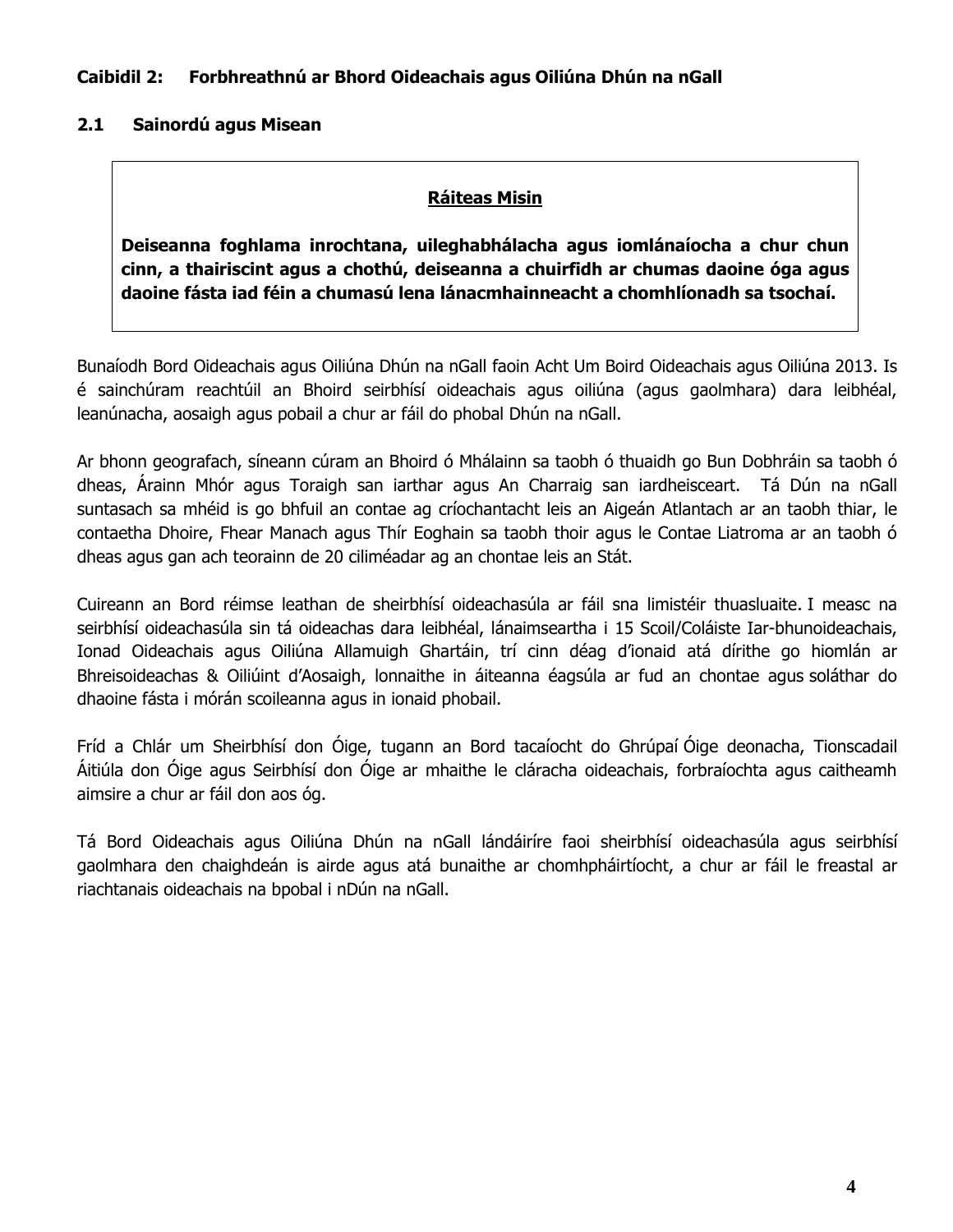#### **Caibidil 2: Forbhreathnú ar Bhord Oideachais agus Oiliúna Dhún na nGall**

# **2.1 Sainordú agus Misean**

#### **Ráiteas Misin**

**Deiseanna foghlama inrochtana, uileghabhálacha agus iomlánaíocha a chur chun cinn, a thairiscint agus a chothú, deiseanna a chuirfidh ar chumas daoine óga agus daoine fásta iad féin a chumasú lena lánacmhainneacht a chomhlíonadh sa tsochaí.**

Bunaíodh Bord Oideachais agus Oiliúna Dhún na nGall faoin Acht Um Boird Oideachais agus Oiliúna 2013. Is é sainchúram reachtúil an Bhoird seirbhísí oideachais agus oiliúna (agus gaolmhara) dara leibhéal, leanúnacha, aosaigh agus pobail a chur ar fáil do phobal Dhún na nGall.

Ar bhonn geografach, síneann cúram an Bhoird ó Mhálainn sa taobh ó thuaidh go Bun Dobhráin sa taobh ó dheas, Árainn Mhór agus Toraigh san iarthar agus An Charraig san iardheisceart. Tá Dún na nGall suntasach sa mhéid is go bhfuil an contae ag críochantacht leis an Aigeán Atlantach ar an taobh thiar, le contaetha Dhoire, Fhear Manach agus Thír Eoghain sa taobh thoir agus le Contae Liatroma ar an taobh ó dheas agus gan ach teorainn de 20 ciliméadar ag an chontae leis an Stát.

Cuireann an Bord réimse leathan de sheirbhísí oideachasúla ar fáil sna limistéir thuasluaite. I measc na seirbhísí oideachasúla sin tá oideachas dara leibhéal, lánaimseartha i 15 Scoil/Coláiste Iar-bhunoideachais, Ionad Oideachais agus Oiliúna Allamuigh Ghartáin, trí cinn déag d'ionaid atá dírithe go hiomlán ar Bhreisoideachas & Oiliúint d'Aosaigh, lonnaithe in áiteanna éagsúla ar fud an chontae agus soláthar do dhaoine fásta i mórán scoileanna agus in ionaid phobail.

Fríd a Chlár um Sheirbhísí don Óige, tugann an Bord tacaíocht do Ghrúpaí Óige deonacha, Tionscadail Áitiúla don Óige agus Seirbhísí don Óige ar mhaithe le cláracha oideachais, forbraíochta agus caitheamh aimsire a chur ar fáil don aos óg.

Tá Bord Oideachais agus Oiliúna Dhún na nGall lándáiríre faoi sheirbhísí oideachasúla agus seirbhísí gaolmhara den chaighdeán is airde agus atá bunaithe ar chomhpháirtíocht, a chur ar fáil le freastal ar riachtanais oideachais na bpobal i nDún na nGall.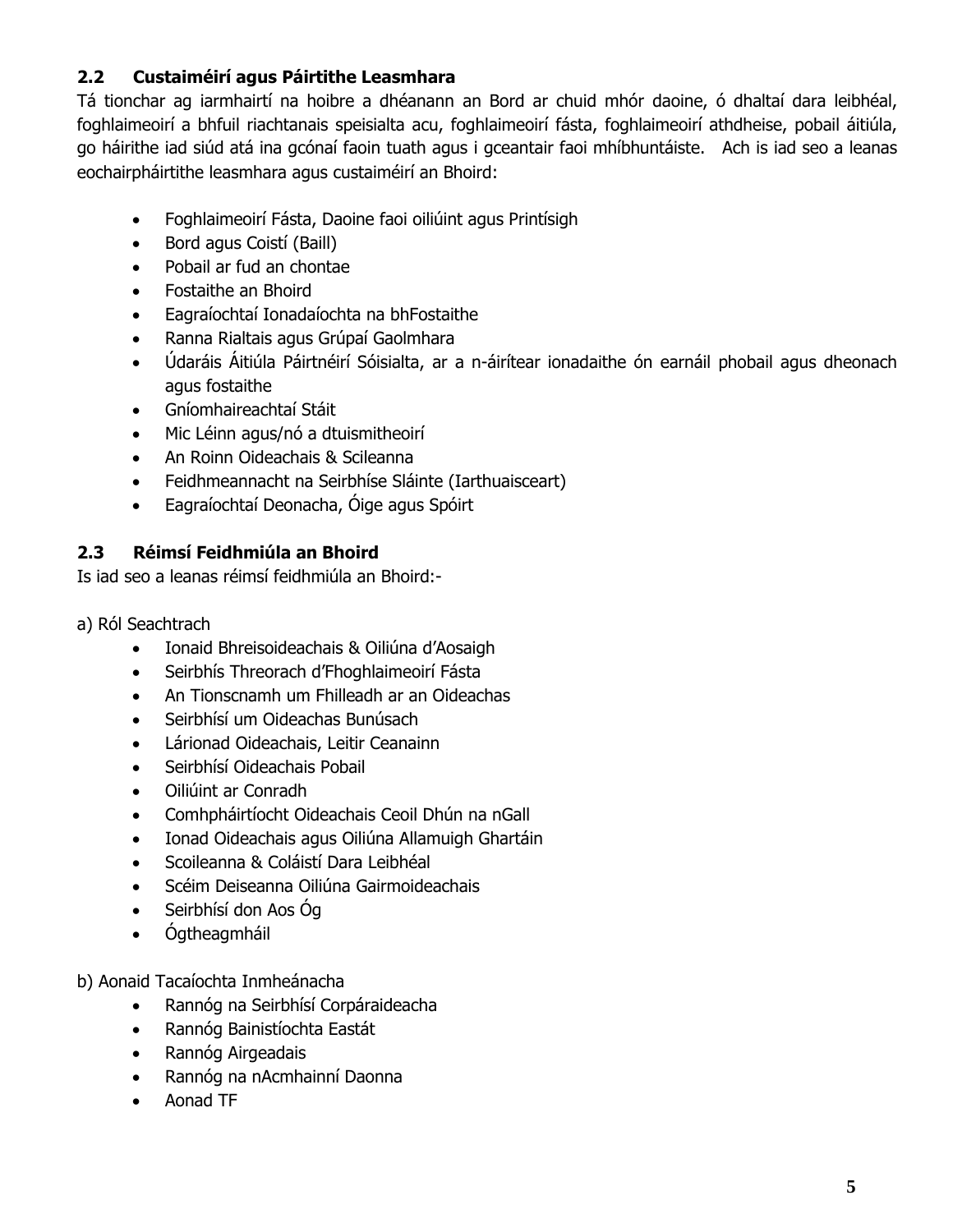# **2.2 Custaiméirí agus Páirtithe Leasmhara**

Tá tionchar ag iarmhairtí na hoibre a dhéanann an Bord ar chuid mhór daoine, ó dhaltaí dara leibhéal, foghlaimeoirí a bhfuil riachtanais speisialta acu, foghlaimeoirí fásta, foghlaimeoirí athdheise, pobail áitiúla, go háirithe iad siúd atá ina gcónaí faoin tuath agus i gceantair faoi mhíbhuntáiste. Ach is iad seo a leanas eochairpháirtithe leasmhara agus custaiméirí an Bhoird:

- Foghlaimeoirí Fásta, Daoine faoi oiliúint agus Printísigh
- Bord agus Coistí (Baill)
- Pobail ar fud an chontae
- Fostaithe an Bhoird
- Eagraíochtaí Ionadaíochta na bhFostaithe
- Ranna Rialtais agus Grúpaí Gaolmhara
- Údaráis Áitiúla Páirtnéirí Sóisialta, ar a n-áirítear ionadaithe ón earnáil phobail agus dheonach agus fostaithe
- Gníomhaireachtaí Stáit
- Mic Léinn agus/nó a dtuismitheoirí
- An Roinn Oideachais & Scileanna
- Feidhmeannacht na Seirbhíse Sláinte (Iarthuaisceart)
- Eagraíochtaí Deonacha, Óige agus Spóirt

# **2.3 Réimsí Feidhmiúla an Bhoird**

Is iad seo a leanas réimsí feidhmiúla an Bhoird:-

- a) Ról Seachtrach
	- Ionaid Bhreisoideachais & Oiliúna d'Aosaigh
	- Seirbhís Threorach d'Fhoghlaimeoirí Fásta
	- An Tionscnamh um Fhilleadh ar an Oideachas
	- Seirbhísí um Oideachas Bunúsach
	- Lárionad Oideachais, Leitir Ceanainn
	- Seirbhísí Oideachais Pobail
	- Oiliúint ar Conradh
	- Comhpháirtíocht Oideachais Ceoil Dhún na nGall
	- Ionad Oideachais agus Oiliúna Allamuigh Ghartáin
	- Scoileanna & Coláistí Dara Leibhéal
	- Scéim Deiseanna Oiliúna Gairmoideachais
	- Seirbhísí don Aos Óg
	- Ógtheagmháil

b) Aonaid Tacaíochta Inmheánacha

- Rannóg na Seirbhísí Corpáraideacha
- Rannóg Bainistíochta Eastát
- Rannóg Airgeadais
- Rannóg na nAcmhainní Daonna
- Aonad TF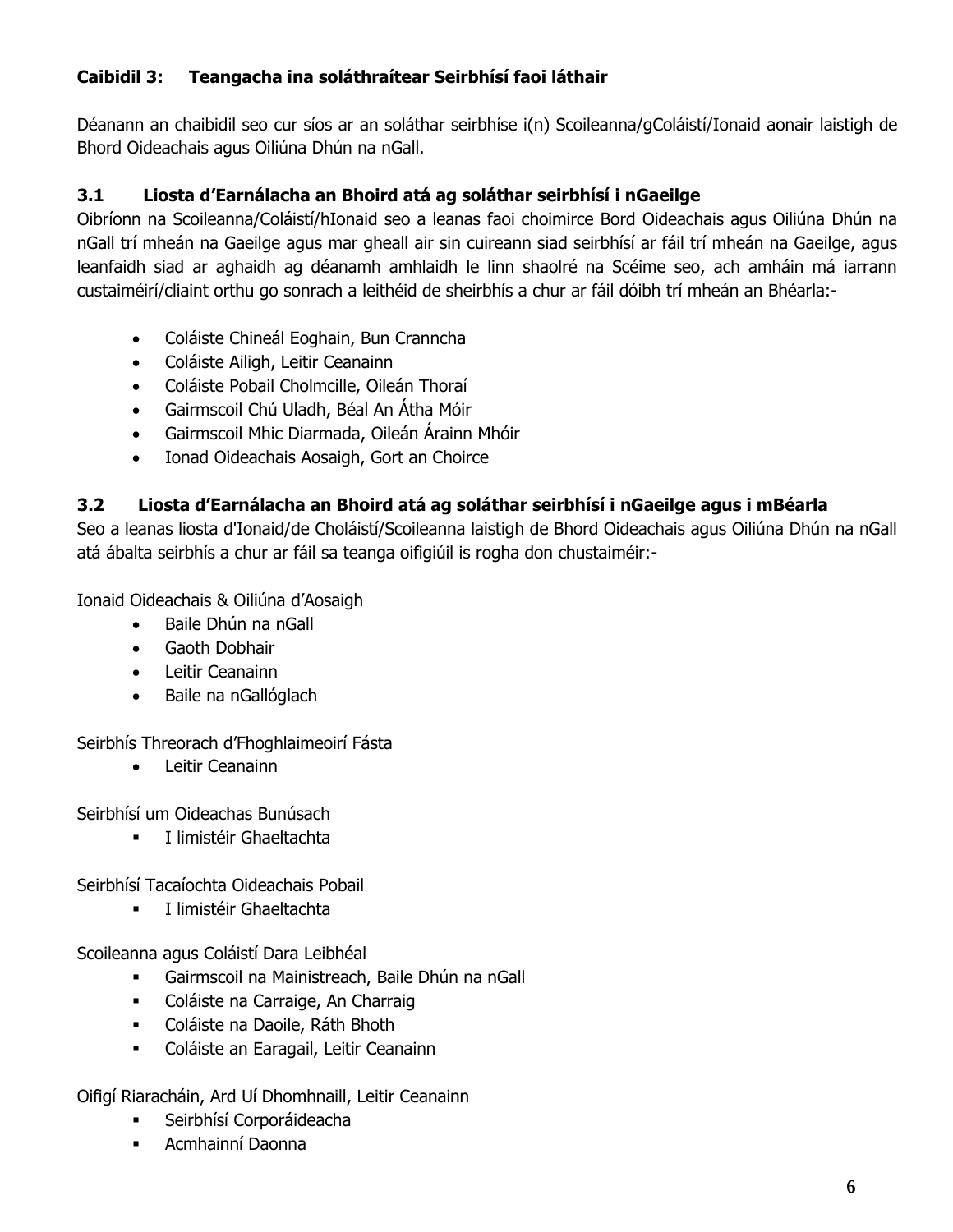# **Caibidil 3: Teangacha ina soláthraítear Seirbhísí faoi láthair**

Déanann an chaibidil seo cur síos ar an soláthar seirbhíse i(n) Scoileanna/gColáistí/Ionaid aonair laistigh de Bhord Oideachais agus Oiliúna Dhún na nGall.

# **3.1 Liosta d'Earnálacha an Bhoird atá ag soláthar seirbhísí i nGaeilge**

Oibríonn na Scoileanna/Coláistí/hIonaid seo a leanas faoi choimirce Bord Oideachais agus Oiliúna Dhún na nGall trí mheán na Gaeilge agus mar gheall air sin cuireann siad seirbhísí ar fáil trí mheán na Gaeilge, agus leanfaidh siad ar aghaidh ag déanamh amhlaidh le linn shaolré na Scéime seo, ach amháin má iarrann custaiméirí/cliaint orthu go sonrach a leithéid de sheirbhís a chur ar fáil dóibh trí mheán an Bhéarla:-

- Coláiste Chineál Eoghain, Bun Cranncha
- Coláiste Ailigh, Leitir Ceanainn
- Coláiste Pobail Cholmcille, Oileán Thoraí
- Gairmscoil Chú Uladh, Béal An Átha Móir
- Gairmscoil Mhic Diarmada, Oileán Árainn Mhóir
- Ionad Oideachais Aosaigh, Gort an Choirce

# **3.2 Liosta d'Earnálacha an Bhoird atá ag soláthar seirbhísí i nGaeilge agus i mBéarla**

Seo a leanas liosta d'Ionaid/de Choláistí/Scoileanna laistigh de Bhord Oideachais agus Oiliúna Dhún na nGall atá ábalta seirbhís a chur ar fáil sa teanga oifigiúil is rogha don chustaiméir:-

Ionaid Oideachais & Oiliúna d'Aosaigh

- Baile Dhún na nGall
- Gaoth Dobhair
- Leitir Ceanainn
- Baile na nGallóglach

Seirbhís Threorach d'Fhoghlaimeoirí Fásta

Leitir Ceanainn

Seirbhísí um Oideachas Bunúsach

**I limistéir Ghaeltachta** 

Seirbhísí Tacaíochta Oideachais Pobail

**I** I limistéir Ghaeltachta

Scoileanna agus Coláistí Dara Leibhéal

- Gairmscoil na Mainistreach, Baile Dhún na nGall
- Coláiste na Carraige, An Charraig
- Coláiste na Daoile, Ráth Bhoth
- Coláiste an Earagail, Leitir Ceanainn

Oifigí Riaracháin, Ard Uí Dhomhnaill, Leitir Ceanainn

- **Executives** Seirbhísí Corporáideacha
- Acmhainní Daonna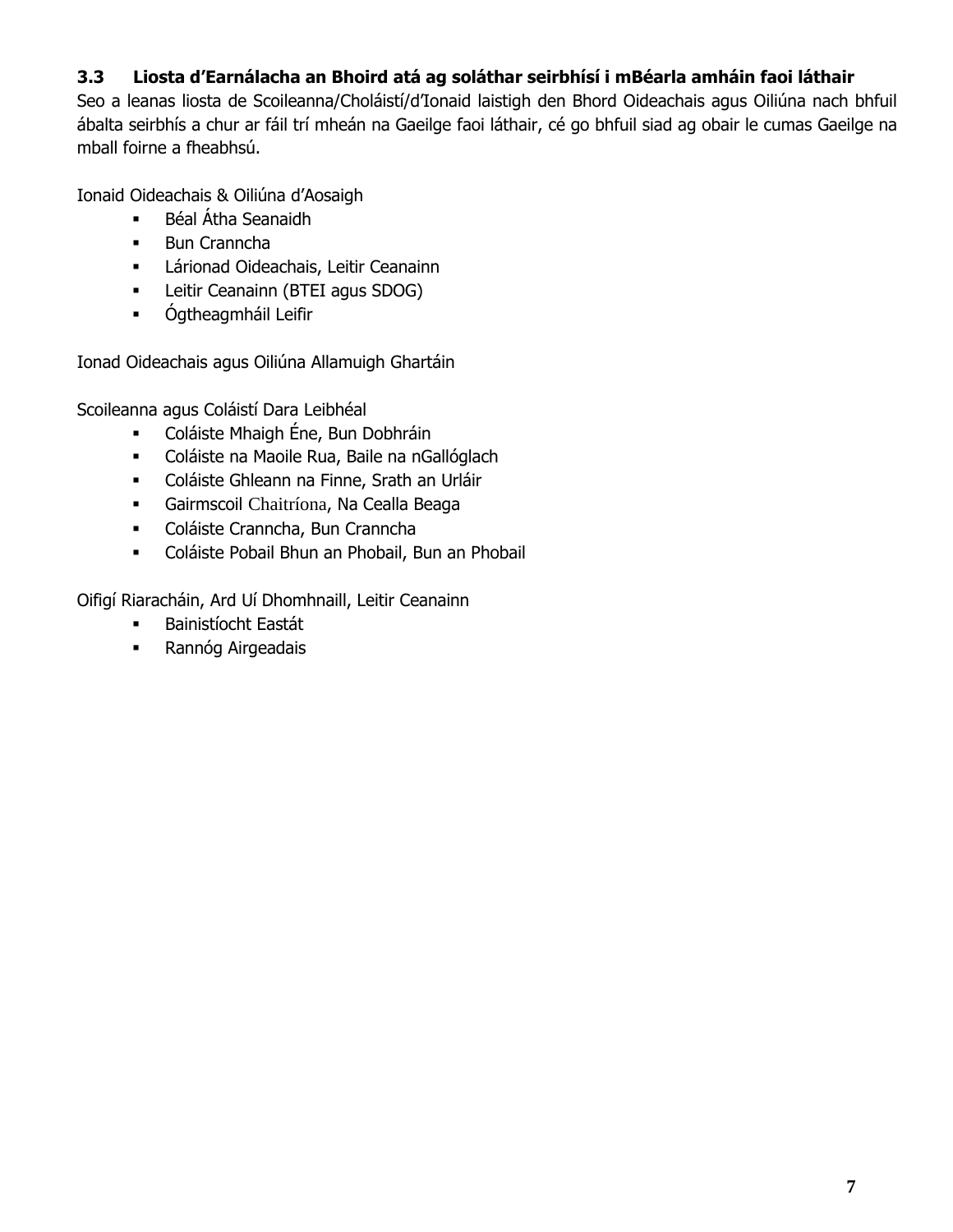# **3.3 Liosta d'Earnálacha an Bhoird atá ag soláthar seirbhísí i mBéarla amháin faoi láthair**

Seo a leanas liosta de Scoileanna/Choláistí/d'Ionaid laistigh den Bhord Oideachais agus Oiliúna nach bhfuil ábalta seirbhís a chur ar fáil trí mheán na Gaeilge faoi láthair, cé go bhfuil siad ag obair le cumas Gaeilge na mball foirne a fheabhsú.

Ionaid Oideachais & Oiliúna d'Aosaigh

- Béal Átha Seanaidh
- **Bun Cranncha**
- **-** Lárionad Oideachais, Leitir Ceanainn
- **-** Leitir Ceanainn (BTEI agus SDOG)
- **•** Ógtheagmháil Leifir

Ionad Oideachais agus Oiliúna Allamuigh Ghartáin

Scoileanna agus Coláistí Dara Leibhéal

- Coláiste Mhaigh Éne, Bun Dobhráin
- Coláiste na Maoile Rua, Baile na nGallóglach
- Coláiste Ghleann na Finne, Srath an Urláir
- Gairmscoil Chaitríona, Na Cealla Beaga
- Coláiste Cranncha, Bun Cranncha
- Coláiste Pobail Bhun an Phobail, Bun an Phobail

Oifigí Riaracháin, Ard Uí Dhomhnaill, Leitir Ceanainn

- **Bainistíocht Eastát**
- **Rannóg Airgeadais**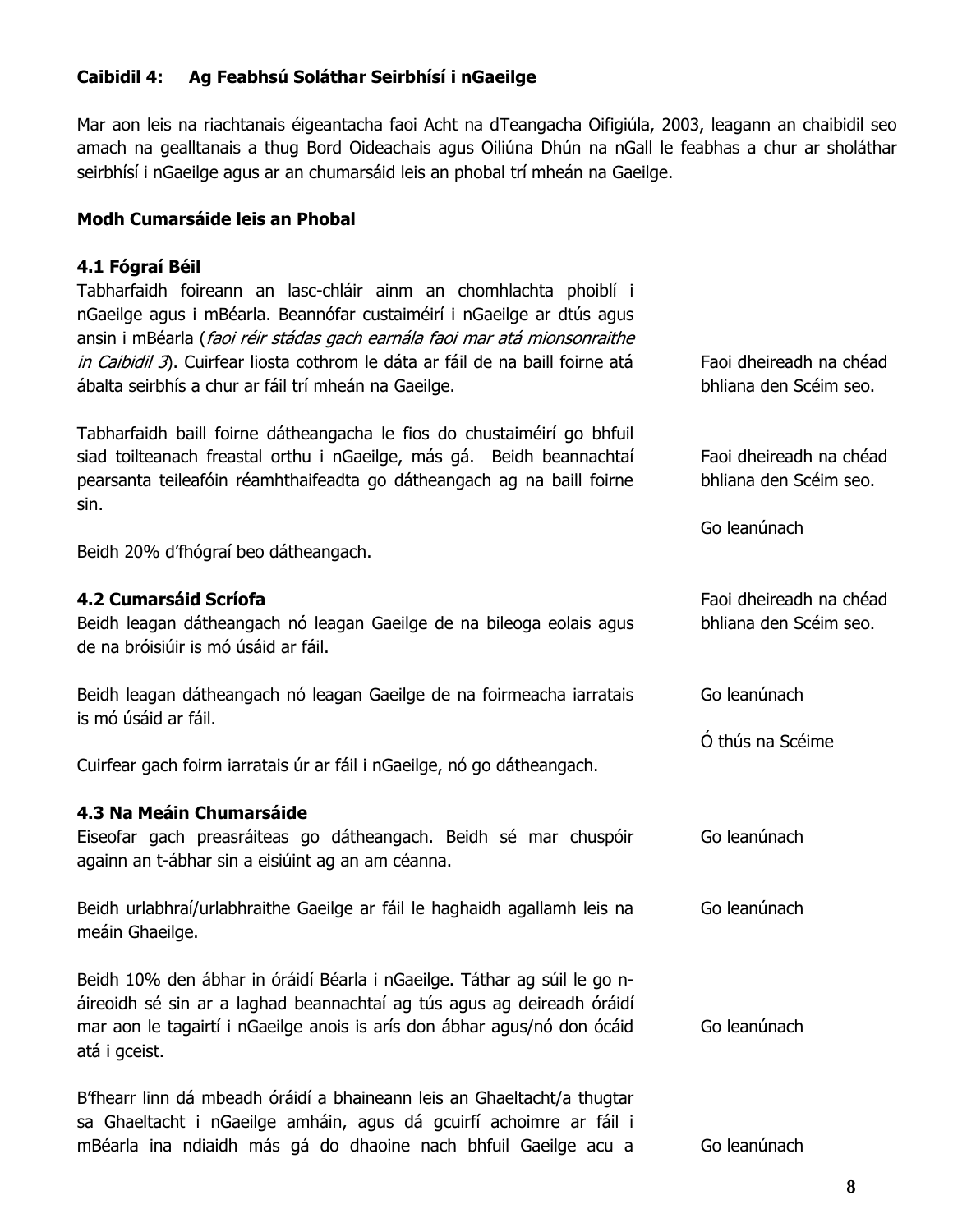#### **Caibidil 4: Ag Feabhsú Soláthar Seirbhísí i nGaeilge**

Mar aon leis na riachtanais éigeantacha faoi Acht na dTeangacha Oifigiúla, 2003, leagann an chaibidil seo amach na gealltanais a thug Bord Oideachais agus Oiliúna Dhún na nGall le feabhas a chur ar sholáthar seirbhísí i nGaeilge agus ar an chumarsáid leis an phobal trí mheán na Gaeilge.

#### **Modh Cumarsáide leis an Phobal**

#### **4.1 Fógraí Béil**

Tabharfaidh foireann an lasc-chláir ainm an chomhlachta phoiblí i nGaeilge agus i mBéarla. Beannófar custaiméirí i nGaeilge ar dtús agus ansin i mBéarla (faoi réir stádas gach earnála faoi mar atá mionsonraithe in Caibidil 3). Cuirfear liosta cothrom le dáta ar fáil de na baill foirne atá ábalta seirbhís a chur ar fáil trí mheán na Gaeilge.

Tabharfaidh baill foirne dátheangacha le fios do chustaiméirí go bhfuil siad toilteanach freastal orthu i nGaeilge, más gá. Beidh beannachtaí pearsanta teileafóin réamhthaifeadta go dátheangach ag na baill foirne sin.

Beidh 20% d'fhógraí beo dátheangach.

#### **4.2 Cumarsáid Scríofa**

Beidh leagan dátheangach nó leagan Gaeilge de na bileoga eolais agus de na bróisiúir is mó úsáid ar fáil.

Beidh leagan dátheangach nó leagan Gaeilge de na foirmeacha iarratais is mó úsáid ar fáil.

Cuirfear gach foirm iarratais úr ar fáil i nGaeilge, nó go dátheangach.

#### **4.3 Na Meáin Chumarsáide**

Eiseofar gach preasráiteas go dátheangach. Beidh sé mar chuspóir againn an t-ábhar sin a eisiúint ag an am céanna.

Beidh urlabhraí/urlabhraithe Gaeilge ar fáil le haghaidh agallamh leis na meáin Ghaeilge. Go leanúnach

Beidh 10% den ábhar in óráidí Béarla i nGaeilge. Táthar ag súil le go náireoidh sé sin ar a laghad beannachtaí ag tús agus ag deireadh óráidí mar aon le tagairtí i nGaeilge anois is arís don ábhar agus/nó don ócáid atá i gceist. Go leanúnach

B'fhearr linn dá mbeadh óráidí a bhaineann leis an Ghaeltacht/a thugtar sa Ghaeltacht i nGaeilge amháin, agus dá gcuirfí achoimre ar fáil i mBéarla ina ndiaidh más gá do dhaoine nach bhfuil Gaeilge acu a Go leanúnach

Faoi dheireadh na chéad bhliana den Scéim seo.

Faoi dheireadh na chéad bhliana den Scéim seo.

Faoi dheireadh na chéad bhliana den Scéim seo.

Go leanúnach

Go leanúnach

Go leanúnach

Ó thús na Scéime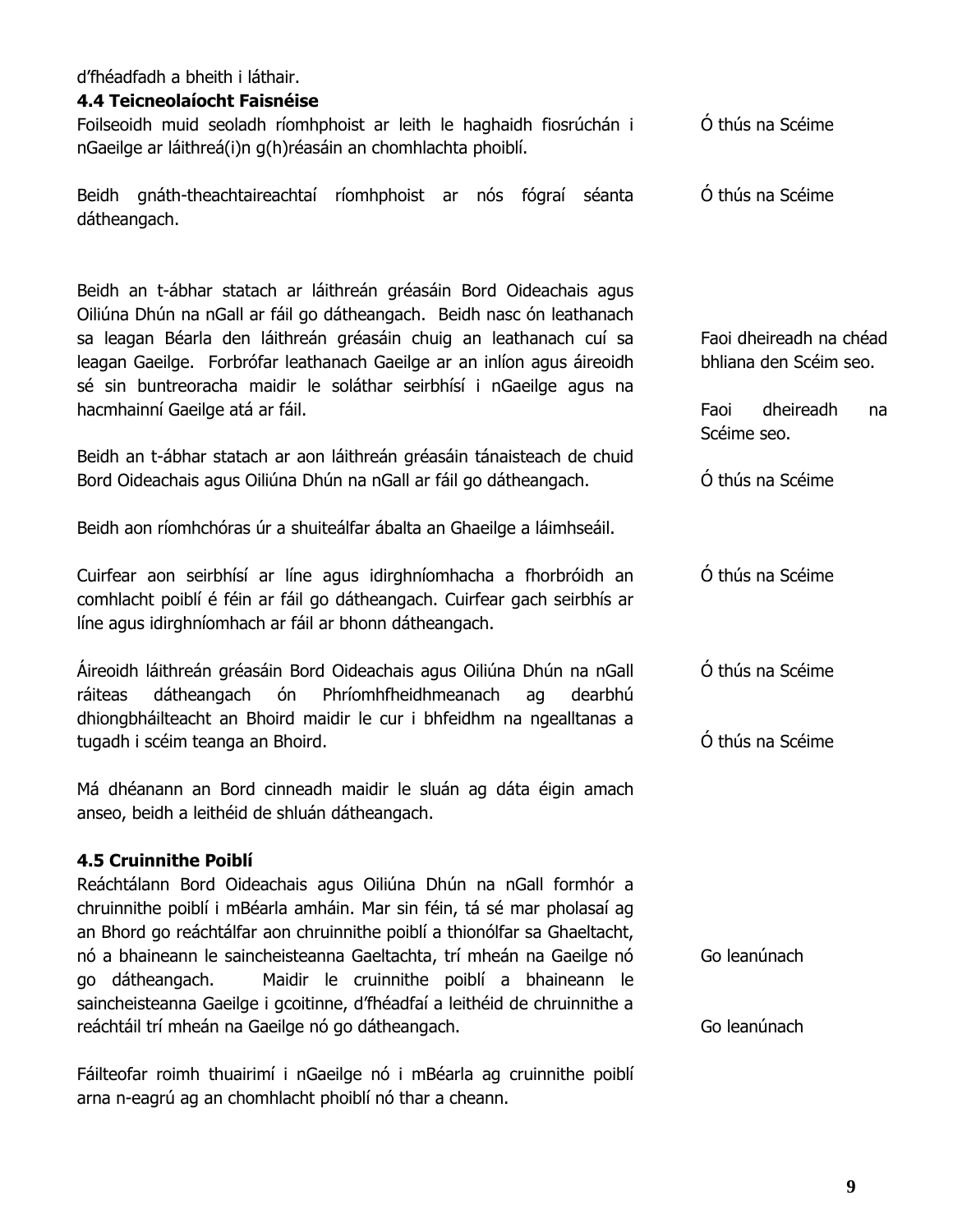d'fhéadfadh a bheith i láthair.

#### **4.4 Teicneolaíocht Faisnéise**

Foilseoidh muid seoladh ríomhphoist ar leith le haghaidh fiosrúchán i nGaeilge ar láithreá(i)n g(h)réasáin an chomhlachta phoiblí. Ó thús na Scéime

Beidh gnáth-theachtaireachtaí ríomhphoist ar nós fógraí séanta dátheangach. Ó thús na Scéime

Beidh an t-ábhar statach ar láithreán gréasáin Bord Oideachais agus Oiliúna Dhún na nGall ar fáil go dátheangach. Beidh nasc ón leathanach sa leagan Béarla den láithreán gréasáin chuig an leathanach cuí sa leagan Gaeilge. Forbrófar leathanach Gaeilge ar an inlíon agus áireoidh sé sin buntreoracha maidir le soláthar seirbhísí i nGaeilge agus na hacmhainní Gaeilge atá ar fáil.

Beidh an t-ábhar statach ar aon láithreán gréasáin tánaisteach de chuid Bord Oideachais agus Oiliúna Dhún na nGall ar fáil go dátheangach.

Beidh aon ríomhchóras úr a shuiteálfar ábalta an Ghaeilge a láimhseáil.

Cuirfear aon seirbhísí ar líne agus idirghníomhacha a fhorbróidh an comhlacht poiblí é féin ar fáil go dátheangach. Cuirfear gach seirbhís ar líne agus idirghníomhach ar fáil ar bhonn dátheangach.

Áireoidh láithreán gréasáin Bord Oideachais agus Oiliúna Dhún na nGall ráiteas dátheangach ón Phríomhfheidhmeanach ag dearbhú dhiongbháilteacht an Bhoird maidir le cur i bhfeidhm na ngealltanas a tugadh i scéim teanga an Bhoird.

Má dhéanann an Bord cinneadh maidir le sluán ag dáta éigin amach anseo, beidh a leithéid de shluán dátheangach.

#### **4.5 Cruinnithe Poiblí**

Reáchtálann Bord Oideachais agus Oiliúna Dhún na nGall formhór a chruinnithe poiblí i mBéarla amháin. Mar sin féin, tá sé mar pholasaí ag an Bhord go reáchtálfar aon chruinnithe poiblí a thionólfar sa Ghaeltacht, nó a bhaineann le saincheisteanna Gaeltachta, trí mheán na Gaeilge nó go dátheangach. Maidir le cruinnithe poiblí a bhaineann le saincheisteanna Gaeilge i gcoitinne, d'fhéadfaí a leithéid de chruinnithe a reáchtáil trí mheán na Gaeilge nó go dátheangach. Go leanúnach

Fáilteofar roimh thuairimí i nGaeilge nó i mBéarla ag cruinnithe poiblí arna n-eagrú ag an chomhlacht phoiblí nó thar a cheann.

Faoi dheireadh na chéad bhliana den Scéim seo.

Faoi dheireadh na Scéime seo.

Ó thús na Scéime

Ó thús na Scéime

Ó thús na Scéime

Ó thús na Scéime

Go leanúnach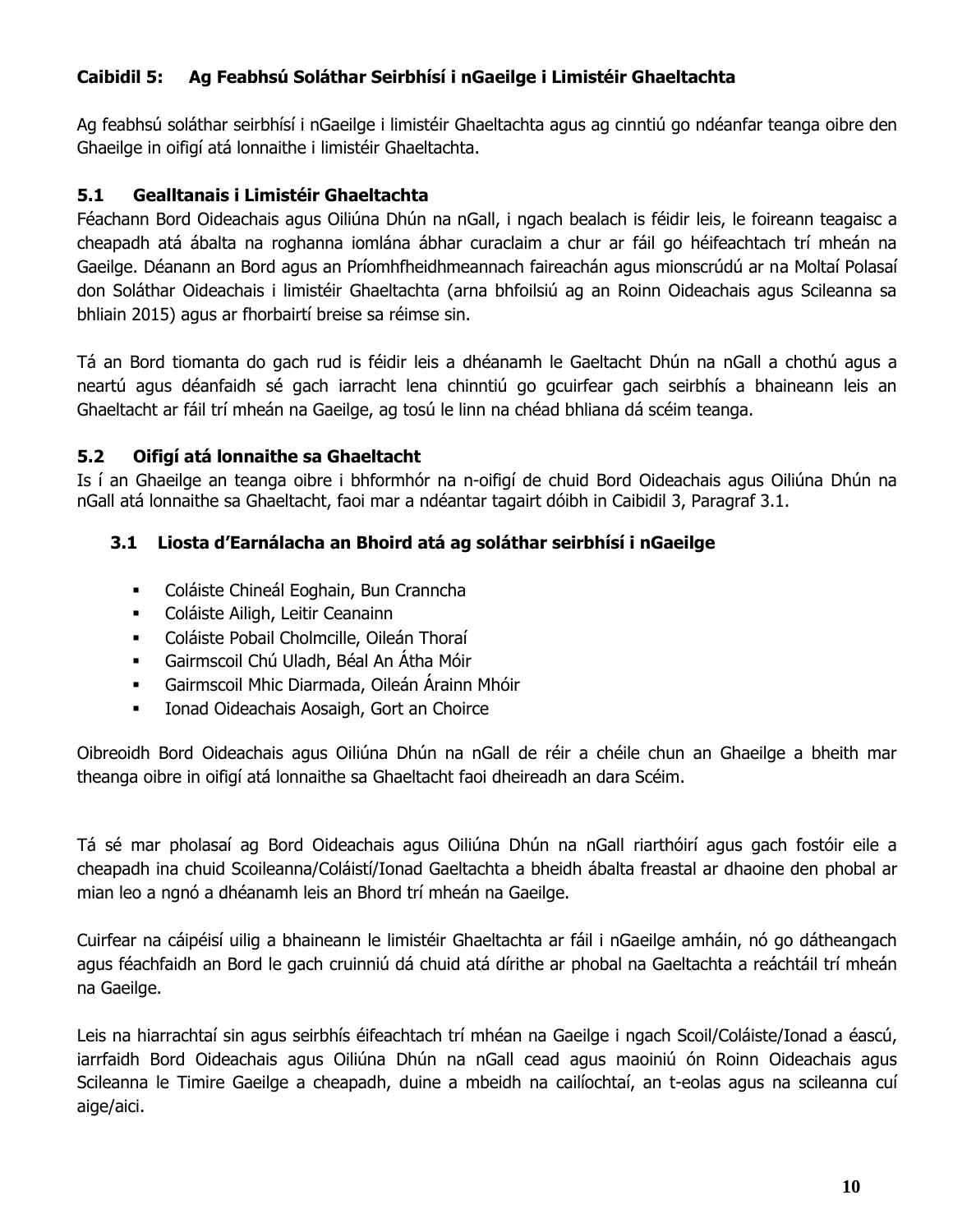# **Caibidil 5: Ag Feabhsú Soláthar Seirbhísí i nGaeilge i Limistéir Ghaeltachta**

Ag feabhsú soláthar seirbhísí i nGaeilge i limistéir Ghaeltachta agus ag cinntiú go ndéanfar teanga oibre den Ghaeilge in oifigí atá lonnaithe i limistéir Ghaeltachta.

# **5.1 Gealltanais i Limistéir Ghaeltachta**

Féachann Bord Oideachais agus Oiliúna Dhún na nGall, i ngach bealach is féidir leis, le foireann teagaisc a cheapadh atá ábalta na roghanna iomlána ábhar curaclaim a chur ar fáil go héifeachtach trí mheán na Gaeilge. Déanann an Bord agus an Príomhfheidhmeannach faireachán agus mionscrúdú ar na Moltaí Polasaí don Soláthar Oideachais i limistéir Ghaeltachta (arna bhfoilsiú ag an Roinn Oideachais agus Scileanna sa bhliain 2015) agus ar fhorbairtí breise sa réimse sin.

Tá an Bord tiomanta do gach rud is féidir leis a dhéanamh le Gaeltacht Dhún na nGall a chothú agus a neartú agus déanfaidh sé gach iarracht lena chinntiú go gcuirfear gach seirbhís a bhaineann leis an Ghaeltacht ar fáil trí mheán na Gaeilge, ag tosú le linn na chéad bhliana dá scéim teanga.

# **5.2 Oifigí atá lonnaithe sa Ghaeltacht**

Is í an Ghaeilge an teanga oibre i bhformhór na n-oifigí de chuid Bord Oideachais agus Oiliúna Dhún na nGall atá lonnaithe sa Ghaeltacht, faoi mar a ndéantar tagairt dóibh in Caibidil 3, Paragraf 3.1.

# **3.1 Liosta d'Earnálacha an Bhoird atá ag soláthar seirbhísí i nGaeilge**

- Coláiste Chineál Eoghain, Bun Cranncha
- Coláiste Ailigh, Leitir Ceanainn
- Coláiste Pobail Cholmcille, Oileán Thoraí
- Gairmscoil Chú Uladh, Béal An Átha Móir
- Gairmscoil Mhic Diarmada, Oileán Árainn Mhóir
- **Ionad Oideachais Aosaigh, Gort an Choirce**

Oibreoidh Bord Oideachais agus Oiliúna Dhún na nGall de réir a chéile chun an Ghaeilge a bheith mar theanga oibre in oifigí atá lonnaithe sa Ghaeltacht faoi dheireadh an dara Scéim.

Tá sé mar pholasaí ag Bord Oideachais agus Oiliúna Dhún na nGall riarthóirí agus gach fostóir eile a cheapadh ina chuid Scoileanna/Coláistí/Ionad Gaeltachta a bheidh ábalta freastal ar dhaoine den phobal ar mian leo a ngnó a dhéanamh leis an Bhord trí mheán na Gaeilge.

Cuirfear na cáipéisí uilig a bhaineann le limistéir Ghaeltachta ar fáil i nGaeilge amháin, nó go dátheangach agus féachfaidh an Bord le gach cruinniú dá chuid atá dírithe ar phobal na Gaeltachta a reáchtáil trí mheán na Gaeilge.

Leis na hiarrachtaí sin agus seirbhís éifeachtach trí mhéan na Gaeilge i ngach Scoil/Coláiste/Ionad a éascú, iarrfaidh Bord Oideachais agus Oiliúna Dhún na nGall cead agus maoiniú ón Roinn Oideachais agus Scileanna le Timire Gaeilge a cheapadh, duine a mbeidh na cailíochtaí, an t-eolas agus na scileanna cuí aige/aici.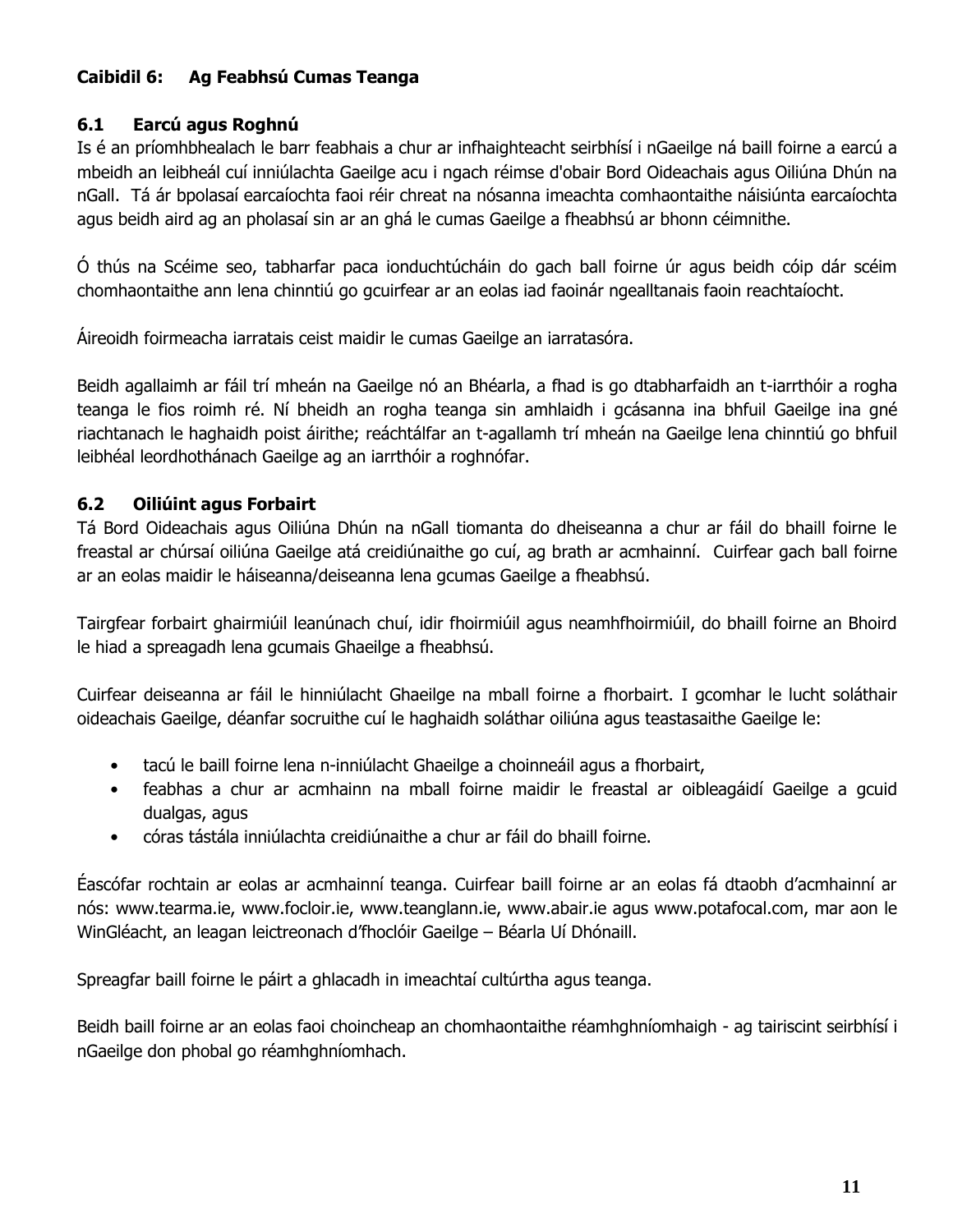# **Caibidil 6: Ag Feabhsú Cumas Teanga**

#### **6.1 Earcú agus Roghnú**

Is é an príomhbhealach le barr feabhais a chur ar infhaighteacht seirbhísí i nGaeilge ná baill foirne a earcú a mbeidh an leibheál cuí inniúlachta Gaeilge acu i ngach réimse d'obair Bord Oideachais agus Oiliúna Dhún na nGall. Tá ár bpolasaí earcaíochta faoi réir chreat na nósanna imeachta comhaontaithe náisiúnta earcaíochta agus beidh aird ag an pholasaí sin ar an ghá le cumas Gaeilge a fheabhsú ar bhonn céimnithe.

Ó thús na Scéime seo, tabharfar paca ionduchtúcháin do gach ball foirne úr agus beidh cóip dár scéim chomhaontaithe ann lena chinntiú go gcuirfear ar an eolas iad faoinár ngealltanais faoin reachtaíocht.

Áireoidh foirmeacha iarratais ceist maidir le cumas Gaeilge an iarratasóra.

Beidh agallaimh ar fáil trí mheán na Gaeilge nó an Bhéarla, a fhad is go dtabharfaidh an t-iarrthóir a rogha teanga le fios roimh ré. Ní bheidh an rogha teanga sin amhlaidh i gcásanna ina bhfuil Gaeilge ina gné riachtanach le haghaidh poist áirithe; reáchtálfar an t-agallamh trí mheán na Gaeilge lena chinntiú go bhfuil leibhéal leordhothánach Gaeilge ag an iarrthóir a roghnófar.

# **6.2 Oiliúint agus Forbairt**

Tá Bord Oideachais agus Oiliúna Dhún na nGall tiomanta do dheiseanna a chur ar fáil do bhaill foirne le freastal ar chúrsaí oiliúna Gaeilge atá creidiúnaithe go cuí, ag brath ar acmhainní. Cuirfear gach ball foirne ar an eolas maidir le háiseanna/deiseanna lena gcumas Gaeilge a fheabhsú.

Tairgfear forbairt ghairmiúil leanúnach chuí, idir fhoirmiúil agus neamhfhoirmiúil, do bhaill foirne an Bhoird le hiad a spreagadh lena gcumais Ghaeilge a fheabhsú.

Cuirfear deiseanna ar fáil le hinniúlacht Ghaeilge na mball foirne a fhorbairt. I gcomhar le lucht soláthair oideachais Gaeilge, déanfar socruithe cuí le haghaidh soláthar oiliúna agus teastasaithe Gaeilge le:

- tacú le baill foirne lena n-inniúlacht Ghaeilge a choinneáil agus a fhorbairt,
- feabhas a chur ar acmhainn na mball foirne maidir le freastal ar oibleagáidí Gaeilge a gcuid dualgas, agus
- córas tástála inniúlachta creidiúnaithe a chur ar fáil do bhaill foirne.

Éascófar rochtain ar eolas ar acmhainní teanga. Cuirfear baill foirne ar an eolas fá dtaobh d'acmhainní ar nós: www.tearma.ie, www.focloir.ie, www.teanglann.ie, www.abair.ie agus www.potafocal.com, mar aon le WinGléacht, an leagan leictreonach d'fhoclóir Gaeilge – Béarla Uí Dhónaill.

Spreagfar baill foirne le páirt a ghlacadh in imeachtaí cultúrtha agus teanga.

Beidh baill foirne ar an eolas faoi choincheap an chomhaontaithe réamhghníomhaigh - ag tairiscint seirbhísí i nGaeilge don phobal go réamhghníomhach.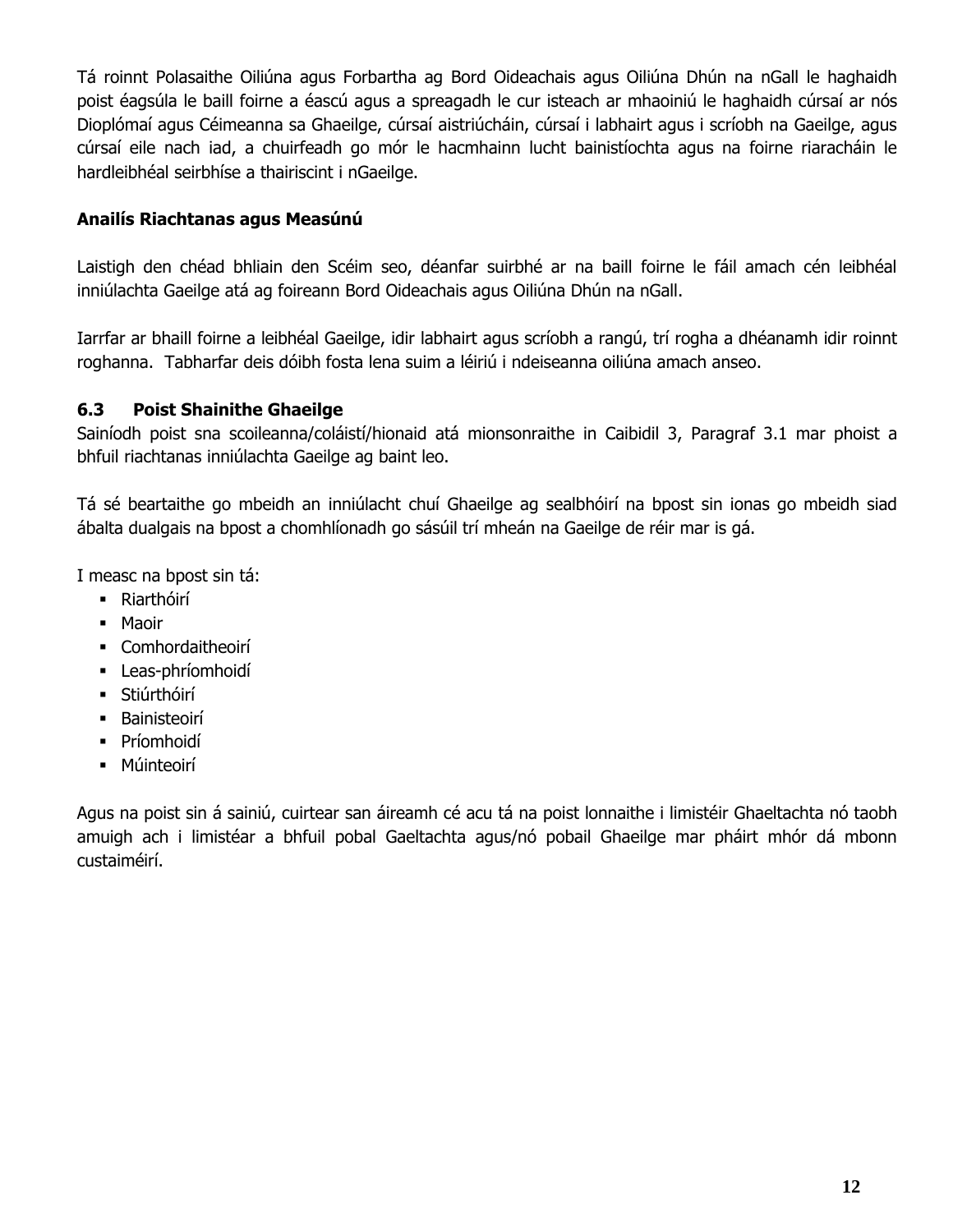Tá roinnt Polasaithe Oiliúna agus Forbartha ag Bord Oideachais agus Oiliúna Dhún na nGall le haghaidh poist éagsúla le baill foirne a éascú agus a spreagadh le cur isteach ar mhaoiniú le haghaidh cúrsaí ar nós Dioplómaí agus Céimeanna sa Ghaeilge, cúrsaí aistriúcháin, cúrsaí i labhairt agus i scríobh na Gaeilge, agus cúrsaí eile nach iad, a chuirfeadh go mór le hacmhainn lucht bainistíochta agus na foirne riaracháin le hardleibhéal seirbhíse a thairiscint i nGaeilge.

#### **Anailís Riachtanas agus Measúnú**

Laistigh den chéad bhliain den Scéim seo, déanfar suirbhé ar na baill foirne le fáil amach cén leibhéal inniúlachta Gaeilge atá ag foireann Bord Oideachais agus Oiliúna Dhún na nGall.

Iarrfar ar bhaill foirne a leibhéal Gaeilge, idir labhairt agus scríobh a rangú, trí rogha a dhéanamh idir roinnt roghanna. Tabharfar deis dóibh fosta lena suim a léiriú i ndeiseanna oiliúna amach anseo.

#### **6.3 Poist Shainithe Ghaeilge**

Sainíodh poist sna scoileanna/coláistí/hionaid atá mionsonraithe in Caibidil 3, Paragraf 3.1 mar phoist a bhfuil riachtanas inniúlachta Gaeilge ag baint leo.

Tá sé beartaithe go mbeidh an inniúlacht chuí Ghaeilge ag sealbhóirí na bpost sin ionas go mbeidh siad ábalta dualgais na bpost a chomhlíonadh go sásúil trí mheán na Gaeilge de réir mar is gá.

I measc na bpost sin tá:

- Riarthóirí
- Maoir
- Comhordaitheoirí
- Leas-phríomhoidí
- **Stiúrthóirí**
- **Bainisteoirí**
- **-** Príomhoidí
- Múinteoirí

Agus na poist sin á sainiú, cuirtear san áireamh cé acu tá na poist lonnaithe i limistéir Ghaeltachta nó taobh amuigh ach i limistéar a bhfuil pobal Gaeltachta agus/nó pobail Ghaeilge mar pháirt mhór dá mbonn custaiméirí.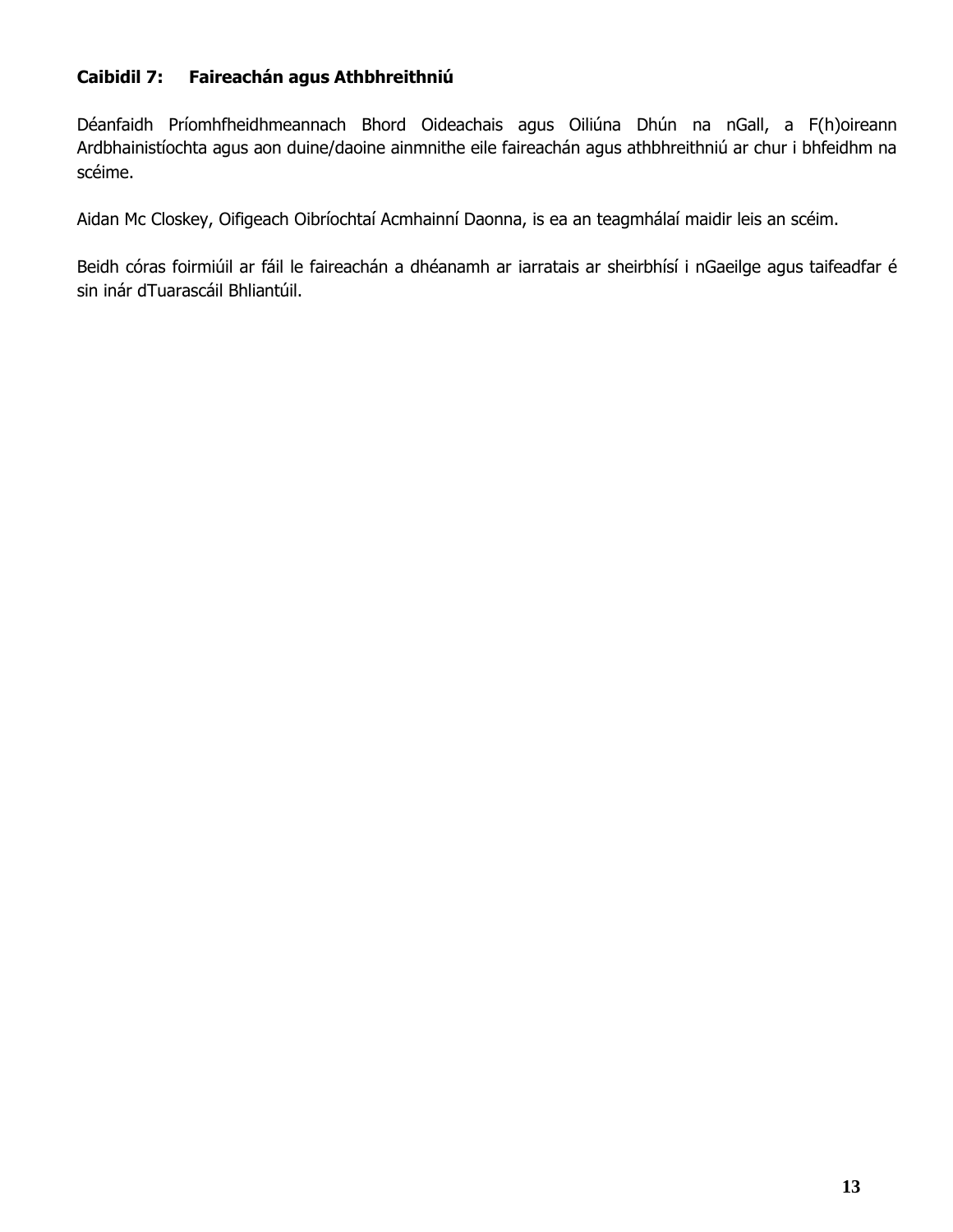# **Caibidil 7: Faireachán agus Athbhreithniú**

Déanfaidh Príomhfheidhmeannach Bhord Oideachais agus Oiliúna Dhún na nGall, a F(h)oireann Ardbhainistíochta agus aon duine/daoine ainmnithe eile faireachán agus athbhreithniú ar chur i bhfeidhm na scéime.

Aidan Mc Closkey, Oifigeach Oibríochtaí Acmhainní Daonna, is ea an teagmhálaí maidir leis an scéim.

Beidh córas foirmiúil ar fáil le faireachán a dhéanamh ar iarratais ar sheirbhísí i nGaeilge agus taifeadfar é sin inár dTuarascáil Bhliantúil.